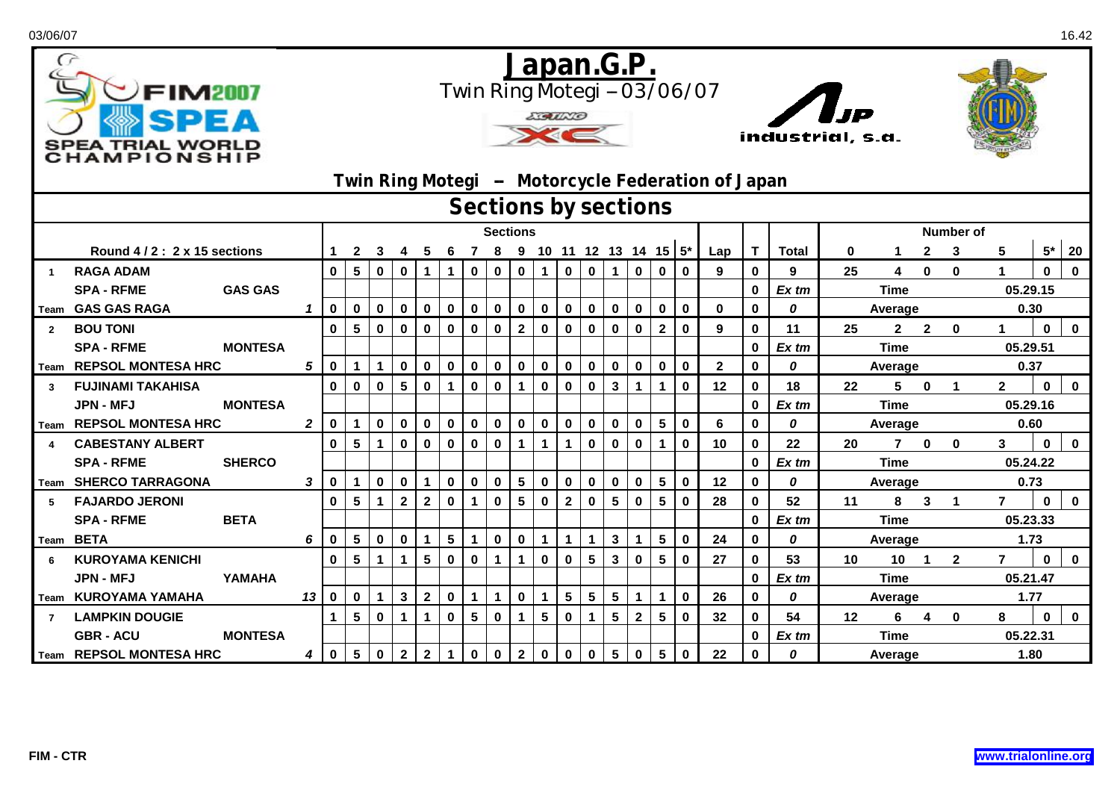| G              | FIM2007<br>SPEA TRIAL WORLD<br>CHAMPIONSHIP |                |                  |                      |                 |              |                 |                |                 |                         |                         | <b>ECOLORED</b> |              |                |                         | <u>Japan.G.P.</u>          |              |                         | Twin Ring Motegi -- 03/06/07<br>Twin Ring Motegi - Motorcycle Federation of Japan |                | industrial, s.a. | כו ז    |             |                  |                |                      |                |              |              |  |  |
|----------------|---------------------------------------------|----------------|------------------|----------------------|-----------------|--------------|-----------------|----------------|-----------------|-------------------------|-------------------------|-----------------|--------------|----------------|-------------------------|----------------------------|--------------|-------------------------|-----------------------------------------------------------------------------------|----------------|------------------|---------|-------------|------------------|----------------|----------------------|----------------|--------------|--------------|--|--|
|                |                                             |                |                  | Sections by sections |                 |              |                 |                |                 |                         |                         |                 |              |                |                         |                            |              |                         |                                                                                   |                |                  |         |             |                  |                |                      |                |              |              |  |  |
|                |                                             |                |                  | <b>Sections</b>      |                 |              |                 |                |                 |                         |                         |                 |              |                |                         |                            |              |                         |                                                                                   |                |                  |         |             | <b>Number of</b> |                |                      |                |              |              |  |  |
|                | Round 4/2: 2 x 15 sections                  |                | $\mathbf 1$      | $\mathbf{2}$         | 3               |              | 5               | 6              |                 |                         |                         |                 |              |                |                         | 7 8 9 10 11 12 13 14 15 5* |              |                         | Lap                                                                               | $\mathbf{T}$   | <b>Total</b>     | 0       |             | $\mathbf{2}$     | 3              | 5                    |                | $5*$ 20      |              |  |  |
|                | <b>RAGA ADAM</b>                            |                |                  | $\mathbf 0$          | 5 <sup>5</sup>  | $\mathbf 0$  | $\mathbf 0$     | 1              | $\mathbf{1}$    | $\mathbf 0$             | $\mathbf 0$             | $\mathbf 0$     | $\mathbf 1$  | $\mathbf 0$    | $\mathbf 0$             | $\mathbf 1$                | $\mathbf 0$  | $\mathbf 0$             | $\mathbf 0$                                                                       | 9              | $\mathbf 0$      | 9       | 25          | 4                | $\mathbf 0$    | $\mathbf 0$          |                | $\mathbf 0$  | $\mathbf 0$  |  |  |
|                | <b>SPA - RFME</b>                           | <b>GAS GAS</b> |                  |                      |                 |              |                 |                |                 |                         |                         |                 |              |                |                         |                            |              |                         |                                                                                   |                | $\mathbf 0$      | Ex tm   | <b>Time</b> |                  |                |                      | 05.29.15       |              |              |  |  |
|                | Team GAS GAS RAGA                           |                | $\mathbf{1}$     | $\mathbf 0$          | $\mathbf 0$     | $\mathbf 0$  | $\mathbf 0$     | $\mathbf 0$    | $\mathbf 0$     | $\mathbf 0$             | $\overline{\mathbf{0}}$ | $\mathbf 0$     | $\mathbf 0$  | $\mathbf 0$    | $\mathbf 0$             | $\boldsymbol{0}$           | $\mathbf{0}$ | $\mathbf 0$             | $\mathbf 0$                                                                       | $\mathbf 0$    | $\mathbf{0}$     | 0       |             | Average          |                |                      |                | 0.30         |              |  |  |
| $\overline{2}$ | <b>BOU TONI</b>                             |                |                  | $\mathbf 0$          | 5               | $\mathbf 0$  | $\mathbf 0$     | 0              | $\mathbf 0$     | $\mathbf 0$             | $\mathbf 0$             | $\mathbf{2}$    | 0            | 0              | $\mathbf 0$             | 0                          | $\mathbf 0$  | $\overline{2}$          | $\mathbf 0$                                                                       | 9              | $\mathbf{0}$     | 11      | 25          | $\mathbf{2}$     | $\overline{2}$ | $\mathbf 0$          |                | $\mathbf 0$  | $\mathbf{0}$ |  |  |
|                | <b>SPA - RFME</b>                           | <b>MONTESA</b> |                  |                      |                 |              |                 |                |                 |                         |                         |                 |              |                |                         |                            |              |                         |                                                                                   |                | $\mathbf 0$      | $Ex$ tm | <b>Time</b> |                  |                |                      | 05.29.51       |              |              |  |  |
|                | Team REPSOL MONTESA HRC                     |                | 5                | $\mathbf 0$          | 1 <sup>1</sup>  | $\mathbf{1}$ | $\mathbf 0$     | $\mathbf 0$    | $\mathbf 0$     | $\mathbf 0$             | $\mathbf 0$             | $\mathbf 0$     | $\mathbf 0$  | $\mathbf 0$    | $\mathbf 0$             | $\mathbf 0$                | $\mathbf 0$  | $\mathbf 0$             | $\mathbf 0$                                                                       | $\overline{2}$ | $\mathbf 0$      | 0       |             | Average          |                | 0.37                 |                |              |              |  |  |
| $\mathbf{3}$   | <b>FUJINAMI TAKAHISA</b>                    |                |                  | $\mathbf 0$          | $\mathbf 0$     | $\mathbf 0$  | $5\phantom{.0}$ | $\mathbf 0$    | $\mathbf{1}$    | $\mathbf 0$             | $\mathbf 0$             | $\mathbf{1}$    | $\mathbf 0$  | $\mathbf 0$    | $\mathbf 0$             | $\mathbf{3}$               | $\mathbf 1$  | $\mathbf{1}$            | $\mathbf{0}$                                                                      | 12             | $\mathbf 0$      | 18      | 22          | 5                | $\mathbf 0$    | $\blacktriangleleft$ | $\mathbf{2}$   | $\mathbf 0$  | $\mathbf 0$  |  |  |
|                | <b>JPN - MFJ</b>                            | <b>MONTESA</b> |                  |                      |                 |              |                 |                |                 |                         |                         |                 |              |                |                         |                            |              |                         |                                                                                   |                | $\mathbf{0}$     | $Ex$ tm |             | <b>Time</b>      |                |                      | 05.29.16       |              |              |  |  |
|                | Team REPSOL MONTESA HRC                     |                | $\boldsymbol{2}$ | $\mathbf 0$          | $\mathbf{1}$    | $\mathbf 0$  | $\mathbf 0$     | $\mathbf 0$    | $\mathbf 0$     | $\mathbf 0$             | $\mathbf 0$             | $\mathbf 0$     | $\mathbf 0$  | $\mathbf 0$    | $\mathbf 0$             | $\mathbf 0$                | $\mathbf 0$  | $5\phantom{.0}$         | $\mathbf 0$                                                                       | 6              | $\mathbf 0$      | 0       |             | Average          |                |                      | 0.60           |              |              |  |  |
|                | <b>CABESTANY ALBERT</b>                     |                |                  | $\mathbf 0$          | $5\overline{5}$ | $\mathbf{1}$ | $\mathbf 0$     | $\mathbf 0$    | $\mathbf 0$     | $\mathbf 0$             | $\mathbf 0$             | $\mathbf{1}$    | $\mathbf 1$  | 1              | $\mathbf 0$             | $\mathbf 0$                | $\mathbf 0$  | $\mathbf 1$             | $\mathbf 0$                                                                       | 10             | $\mathbf 0$      | 22      | 20          | $7^{\circ}$      | $\mathbf 0$    | $\mathbf{0}$         | 3              | $\mathbf 0$  | $\mathbf 0$  |  |  |
|                | <b>SPA - RFME</b>                           | <b>SHERCO</b>  |                  |                      |                 |              |                 |                |                 |                         |                         |                 |              |                |                         |                            |              |                         |                                                                                   |                | $\mathbf{0}$     | Ex tm   |             | <b>Time</b>      |                |                      | 05.24.22       |              |              |  |  |
|                | Team SHERCO TARRAGONA                       |                | 3                | $\mathbf 0$          | $\mathbf 1$     | $\mathbf 0$  | $\mathbf 0$     | $\mathbf 1$    | $\mathbf 0$     | $\mathbf 0$             | $\mathbf 0$             | $5\phantom{.0}$ | $\mathbf 0$  | $\mathbf 0$    | $\mathbf 0$             | $\mathbf 0$                | $\mathbf 0$  | $\overline{\mathbf{5}}$ | $\mathbf 0$                                                                       | 12             | $\mathbf 0$      | 0       |             | Average          |                |                      |                | 0.73         |              |  |  |
| 5              | <b>FAJARDO JERONI</b>                       |                |                  | $\mathbf 0$          | 5               | $\mathbf{1}$ | $\mathbf{2}$    | $\overline{2}$ | $\mathbf 0$     | $\mathbf{1}$            | $\mathbf 0$             | $5\phantom{1}$  | $\mathbf 0$  | $\mathbf{2}$   | $\mathbf 0$             | 5                          | $\mathbf 0$  | $5\phantom{1}$          | $\mathbf 0$                                                                       | 28             | $\bf{0}$         | 52      | 11          | 8                | 3              | $\blacktriangleleft$ | $\overline{7}$ | $\mathbf{0}$ | $\mathbf 0$  |  |  |
|                | <b>SPA - RFME</b>                           | <b>BETA</b>    |                  |                      |                 |              |                 |                |                 |                         |                         |                 |              |                |                         |                            |              |                         |                                                                                   |                | $\mathbf 0$      | Ex tm   |             | <b>Time</b>      |                |                      |                | 05.23.33     |              |  |  |
|                | Team BETA                                   |                | 6                | $\bf{0}$             | 5               | $\mathbf 0$  | $\mathbf 0$     | $\mathbf 1$    | $5\phantom{.0}$ | $\mathbf{1}$            | $\mathbf 0$             | $\mathbf 0$     | $\mathbf{1}$ | 1              | $\mathbf{1}$            | $\mathbf 3$                | $\mathbf 1$  | 5                       | $\mathbf 0$                                                                       | 24             | $\mathbf{0}$     | 0       | Average     |                  |                |                      |                | 1.73         |              |  |  |
| 6              | <b>KUROYAMA KENICHI</b>                     |                |                  | $\mathbf 0$          | 5               | $\mathbf 1$  | $\mathbf 1$     | 5              | $\mathbf 0$     | $\pmb{0}$               | $\mathbf 1$             | $\mathbf{1}$    | $\mathbf 0$  | $\mathbf 0$    | $5\phantom{.0}$         | $\mathbf{3}$               | $\mathbf 0$  | $\overline{\mathbf{5}}$ | $\mathbf 0$                                                                       | 27             | $\mathbf 0$      | 53      | 10          | 10               | $\mathbf{1}$   | $\mathbf{2}$         | $\overline{7}$ | $\mathbf 0$  | $\mathbf 0$  |  |  |
|                | <b>JPN - MFJ</b>                            | YAMAHA         |                  |                      |                 |              |                 |                |                 |                         |                         |                 |              |                |                         |                            |              |                         |                                                                                   |                | $\mathbf 0$      | Ex tm   |             | <b>Time</b>      |                |                      | 05.21.47       |              |              |  |  |
|                | Team KUROYAMA YAMAHA                        |                | 13               | $\mathbf 0$          | $\mathbf 0$     | $\mathbf 1$  | $\mathbf{3}$    | 2 <sup>7</sup> | $\mathbf 0$     | $\mathbf{1}$            | $\mathbf 1$             | $\mathbf 0$     | $\mathbf 1$  | 5 <sup>5</sup> | $\overline{\mathbf{5}}$ | $5\phantom{a}$             | $\mathbf 1$  | $\mathbf{1}$            | $\mathbf 0$                                                                       | 26             | $\mathbf 0$      | 0       |             | Average          |                |                      |                | 1.77         |              |  |  |
|                | <b>LAMPKIN DOUGIE</b>                       |                |                  | $\mathbf 1$          | $5\phantom{.0}$ | $\mathbf 0$  | $\mathbf{1}$    | 1              | $\mathbf 0$     | $\overline{\mathbf{5}}$ | $\mathbf 0$             | $\mathbf{1}$    | 5            | $\pmb{0}$      | $\mathbf 1$             | $5\phantom{.0}$            | $\mathbf{2}$ | $5\phantom{.0}$         | $\mathbf 0$                                                                       | 32             | $\mathbf 0$      | 54      | 12          | 6                | 4              | $\mathbf{0}$         | 8              | $\mathbf 0$  | $\mathbf 0$  |  |  |
|                | <b>GBR - ACU</b>                            | <b>MONTESA</b> |                  |                      |                 |              |                 |                |                 |                         |                         |                 |              |                |                         |                            |              |                         |                                                                                   |                | $\mathbf{0}$     | Ex tm   |             | <b>Time</b>      |                |                      | 05.22.31       |              |              |  |  |
|                | Team REPSOL MONTESA HRC                     |                | 4                | $\mathbf 0$          | 5 <sup>5</sup>  | $\mathbf 0$  | $\mathbf{2}$    | $\mathbf{2}$   | $\mathbf{1}$    | $\mathbf 0$             | $\mathbf 0$             | $\mathbf{2}$    | $\mathbf 0$  | $\mathbf 0$    | $\mathbf 0$             | $5\phantom{.0}$            | $\mathbf 0$  | $\sqrt{5}$              | $\mathbf 0$                                                                       | 22             | $\bf{0}$         | 0       | Average     |                  |                |                      | 1.80           |              |              |  |  |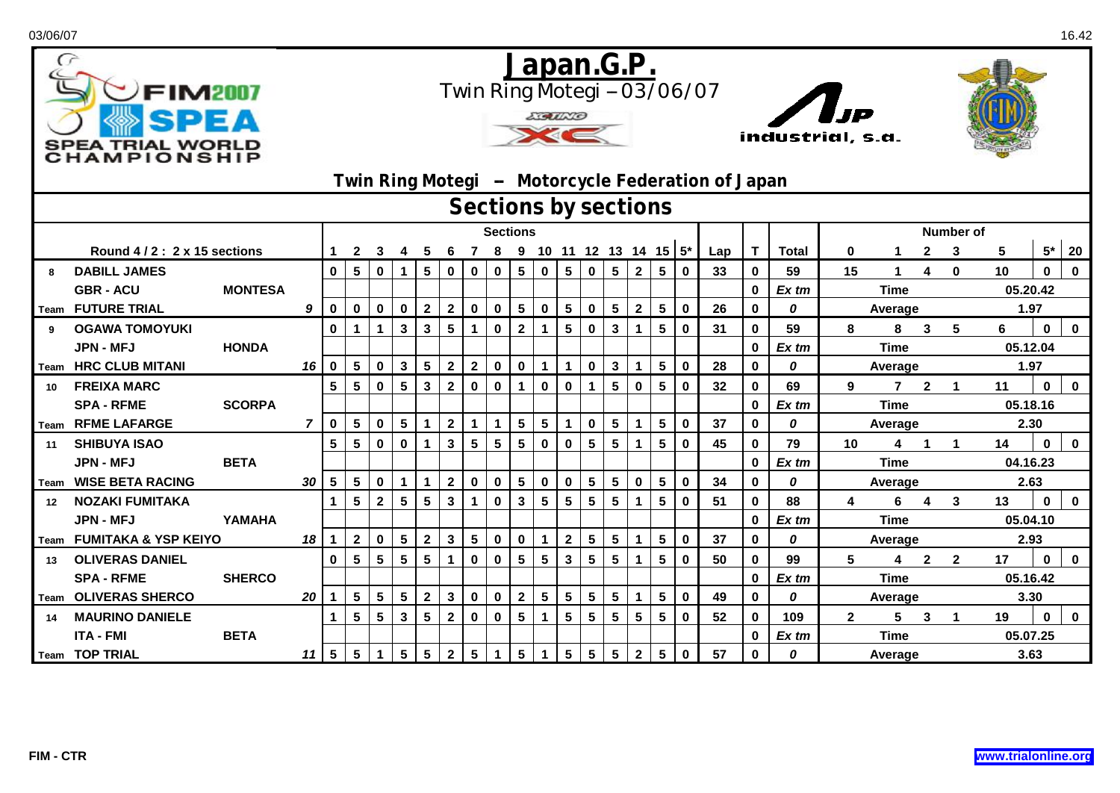| $\sigma$                   | FIM2007<br>SPEA TRIAL WORLD<br><b>HAMPIONSHIP</b> |                      |                |                 |                 |                 |                 |                 |                 |                         |                | <b>LIGULLO</b>  |                 | <u>Japan.G.P.</u> |                            |                 |                |                         | Twin Ring Motegi -- 03/06/07<br>Twin Ring Motegi - Motorcycle Federation of Japan |     | industrial, s.a. |              |                  |                |                         |                         |          |              |             |  |  |
|----------------------------|---------------------------------------------------|----------------------|----------------|-----------------|-----------------|-----------------|-----------------|-----------------|-----------------|-------------------------|----------------|-----------------|-----------------|-------------------|----------------------------|-----------------|----------------|-------------------------|-----------------------------------------------------------------------------------|-----|------------------|--------------|------------------|----------------|-------------------------|-------------------------|----------|--------------|-------------|--|--|
|                            |                                                   | Sections by sections |                |                 |                 |                 |                 |                 |                 |                         |                |                 |                 |                   |                            |                 |                |                         |                                                                                   |     |                  |              |                  |                |                         |                         |          |              |             |  |  |
|                            |                                                   |                      |                |                 |                 |                 |                 |                 | <b>Sections</b> |                         |                |                 |                 |                   |                            |                 |                |                         |                                                                                   |     |                  |              | <b>Number of</b> |                |                         |                         |          |              |             |  |  |
| Round 4/2: 2 x 15 sections |                                                   |                      |                |                 | $\mathbf{2}$    | 3               | 4               | 5               | 6               |                         |                |                 |                 |                   | 7 8 9 10 11 12 13 14 15 5* |                 |                |                         |                                                                                   | Lap | T                | <b>Total</b> | $\mathbf 0$      |                | $\mathbf{2}$            | 3                       | 5        |              | $5*$ 20     |  |  |
| 8                          | <b>DABILL JAMES</b>                               |                      |                | $\mathbf{0}$    | 5               | $\mathbf{0}$    | $\mathbf{1}$    | 5               | $\mathbf{0}$    | $\mathbf 0$             | $\mathbf 0$    | $5\phantom{.0}$ | $\mathbf 0$     | 5 <sup>5</sup>    | $\mathbf 0$                | 5               | $2^{\circ}$    | $5\phantom{.0}$         | $\mathbf 0$                                                                       | 33  | $\bf{0}$         | 59           | 15               | $\mathbf 1$    | 4                       | $\bf{0}$                | 10       | $\mathbf{0}$ | $\mathbf 0$ |  |  |
|                            | <b>GBR - ACU</b>                                  | <b>MONTESA</b>       |                |                 |                 |                 |                 |                 |                 |                         |                |                 |                 |                   |                            |                 |                |                         |                                                                                   |     | $\bf{0}$         | $Ex$ tm      | <b>Time</b>      |                |                         |                         | 05.20.42 |              |             |  |  |
|                            | Team FUTURE TRIAL                                 |                      | 9              | $\mathbf 0$     | $\mathbf 0$     | $\mathbf 0$     | $\mathbf 0$     | $\overline{2}$  | $\mathbf{2}$    | $\mathbf 0$             | $\mathbf 0$    | $5\phantom{.0}$ | $\mathbf 0$     | 5 <sup>1</sup>    | $\mathbf 0$                | $5\phantom{.0}$ | $\overline{2}$ | ${\bf 5}$               | $\mathbf 0$                                                                       | 26  | $\bf{0}$         | 0            | Average          |                |                         |                         | 1.97     |              |             |  |  |
| 9                          | <b>OGAWA TOMOYUKI</b>                             |                      |                | $\mathbf 0$     |                 | $\mathbf{1}$    | $\mathbf{3}$    | $\mathbf{3}$    | $5\phantom{1}$  | $\mathbf{1}$            | $\mathbf 0$    | $\overline{2}$  | $\mathbf 1$     | 5                 | $\bf{0}$                   | 3               | 1              | $5\phantom{1}$          | $\mathbf 0$                                                                       | 31  | $\bf{0}$         | 59           | 8                | 8              | $\mathbf{3}$            | 5                       | 6        | $\mathbf 0$  | $\mathbf 0$ |  |  |
|                            | <b>JPN - MFJ</b>                                  | <b>HONDA</b>         |                |                 |                 |                 |                 |                 |                 |                         |                |                 |                 |                   |                            |                 |                |                         |                                                                                   |     | $\bf{0}$         | Ex tm        | <b>Time</b>      |                |                         |                         | 05.12.04 |              |             |  |  |
|                            | <b>Team HRC CLUB MITANI</b>                       |                      | 16             | $\mathbf 0$     | $5^{\circ}$     | $\mathbf 0$     | $\mathbf{3}$    | 5 <sup>5</sup>  | $\overline{2}$  | $\mathbf{2}$            | $\mathbf 0$    | $\mathbf 0$     | $\mathbf 1$     | $\mathbf 1$       | $\mathbf 0$                | $\mathbf{3}$    | 1              | $\overline{\mathbf{5}}$ | $\mathbf 0$                                                                       | 28  | $\bf{0}$         | 0            | Average          |                |                         |                         | 1.97     |              |             |  |  |
| 10                         | <b>FREIXA MARC</b>                                |                      |                | $5\phantom{a}$  | 5               | $\mathbf{0}$    | $5\phantom{.0}$ | $\mathbf{3}$    | $\overline{2}$  | $\mathbf 0$             | $\mathbf 0$    | $\mathbf{1}$    | $\mathbf 0$     | $\mathbf 0$       | $\mathbf{1}$               | 5               | $\mathbf 0$    | $5\phantom{1}$          | $\mathbf{0}$                                                                      | 32  | $\mathbf 0$      | 69           | 9                | $\overline{7}$ | $2^{\circ}$             | $\overline{\mathbf{1}}$ | 11       | $\mathbf 0$  | $\mathbf 0$ |  |  |
|                            | <b>SPA - RFME</b>                                 | <b>SCORPA</b>        |                |                 |                 |                 |                 |                 |                 |                         |                |                 |                 |                   |                            |                 |                |                         |                                                                                   |     | $\bf{0}$         | Ex tm        |                  | <b>Time</b>    |                         |                         | 05.18.16 |              |             |  |  |
|                            | Team RFME LAFARGE                                 |                      | $\overline{7}$ | $\mathbf 0$     | 5               | $\mathbf 0$     | $5\phantom{.0}$ | 1               | $\overline{2}$  | $\mathbf{1}$            | $\mathbf{1}$   | $5\phantom{.0}$ | $5\phantom{.0}$ | 1                 | $\mathbf 0$                | $5\phantom{.0}$ | $\mathbf{1}$   | $5\phantom{.0}$         | $\mathbf 0$                                                                       | 37  | $\mathbf 0$      | 0            |                  | Average        |                         |                         | 2.30     |              |             |  |  |
| 11                         | <b>SHIBUYA ISAO</b>                               |                      |                | $5\phantom{a}$  | 5               | $\mathbf 0$     | $\mathbf 0$     | 1               | $\mathbf{3}$    | $5\phantom{a}$          | $5\phantom{a}$ | $5\phantom{1}$  | $\mathbf 0$     | $\mathbf 0$       | $5\phantom{1}$             | $5\phantom{.0}$ | $\mathbf 1$    | $5\phantom{a}$          | $\mathbf{0}$                                                                      | 45  | $\mathbf 0$      | 79           | 10               | 4              | $\mathbf{1}$            | $\overline{1}$          | 14       | $\mathbf 0$  | $\mathbf 0$ |  |  |
|                            | <b>JPN - MFJ</b>                                  | <b>BETA</b>          |                |                 |                 |                 |                 |                 |                 |                         |                |                 |                 |                   |                            |                 |                |                         |                                                                                   |     | $\mathbf 0$      | Ex tm        |                  | <b>Time</b>    |                         |                         | 04.16.23 |              |             |  |  |
| Team                       | <b>WISE BETA RACING</b>                           |                      | 30             | $5\phantom{.0}$ | 5 <sup>5</sup>  | $\mathbf 0$     | $\mathbf{1}$    | $\mathbf{1}$    | $\overline{2}$  | $\mathbf 0$             | $\mathbf 0$    | $5\phantom{1}$  | $\mathbf 0$     | $\mathbf 0$       | $5\phantom{1}$             | $5\phantom{.0}$ | $\mathbf 0$    | $5\phantom{1}$          | $\mathbf 0$                                                                       | 34  | $\mathbf 0$      | 0            |                  | Average        |                         |                         | 2.63     |              |             |  |  |
| 12                         | <b>NOZAKI FUMITAKA</b>                            |                      |                | $\mathbf{1}$    | 5               | $\overline{2}$  | $5\phantom{.0}$ | 5               | $\mathbf{3}$    | $\mathbf{1}$            | $\mathbf 0$    | $\mathbf{3}$    | $5\phantom{.0}$ | 5                 | $5\phantom{1}$             | 5               | $\mathbf 1$    | $5\phantom{1}$          | $\mathbf 0$                                                                       | 51  | $\bf{0}$         | 88           | 4                | 6              | $\overline{\mathbf{4}}$ | 3                       | 13       | $\mathbf{0}$ | $\mathbf 0$ |  |  |
|                            | <b>JPN - MFJ</b>                                  | YAMAHA               |                |                 |                 |                 |                 |                 |                 |                         |                |                 |                 |                   |                            |                 |                |                         |                                                                                   |     | $\bf{0}$         | Ex tm        |                  | <b>Time</b>    |                         |                         |          | 05.04.10     |             |  |  |
|                            | Team FUMITAKA & YSP KEIYO                         |                      | 18             | $\mathbf{1}$    | $\mathbf{2}$    | $\mathbf 0$     | $5\phantom{.0}$ | 2 <sup>7</sup>  | $\mathbf{3}$    | $\overline{\mathbf{5}}$ | $\mathbf 0$    | $\mathbf 0$     | $\mathbf{1}$    | 2 <sup>7</sup>    | $5\phantom{.0}$            | $5\phantom{a}$  | 1              | $5\phantom{1}$          | $\mathbf 0$                                                                       | 37  | $\bf{0}$         | 0            |                  | Average        |                         |                         | 2.93     |              |             |  |  |
| 13                         | <b>OLIVERAS DANIEL</b>                            |                      |                | $\mathbf 0$     | $5\overline{5}$ | $5\phantom{.0}$ | $5\phantom{.0}$ | 5               | $\mathbf{1}$    | $\mathbf 0$             | $\mathbf 0$    | $5\phantom{.0}$ | $5\phantom{.0}$ | $\mathbf{3}$      | $5\phantom{a}$             | $5\phantom{.0}$ | 1              | $5\phantom{a}$          | $\mathbf 0$                                                                       | 50  | $\mathbf 0$      | 99           | 5                | 4              | $\overline{2}$          | $\overline{2}$          | 17       | $\bf{0}$     | $\mathbf 0$ |  |  |
|                            | <b>SPA - RFME</b>                                 | <b>SHERCO</b>        |                |                 |                 |                 |                 |                 |                 |                         |                |                 |                 |                   |                            |                 |                |                         |                                                                                   |     | $\mathbf 0$      | Ex tm        |                  | <b>Time</b>    |                         |                         | 05.16.42 |              |             |  |  |
|                            | Team OLIVERAS SHERCO                              |                      | 20             | $\mathbf 1$     | 5 <sup>5</sup>  | $5\phantom{.0}$ | $5\phantom{.0}$ | $\mathbf{2}$    | $\mathbf{3}$    | $\pmb{0}$               | $\mathbf 0$    | $\overline{2}$  | $5\phantom{.0}$ | 5 <sub>5</sub>    | $\overline{\mathbf{5}}$    | $5\phantom{a}$  | $\mathbf 1$    | $\overline{\mathbf{5}}$ | $\mathbf 0$                                                                       | 49  | $\mathbf 0$      | 0            |                  | Average        |                         |                         | 3.30     |              |             |  |  |
| 14                         | <b>MAURINO DANIELE</b>                            |                      |                | $\mathbf{1}$    | 5               | $5\phantom{.0}$ | $\mathbf{3}$    | 5               | $\overline{2}$  | $\mathbf 0$             | $\mathbf 0$    | $5\phantom{.0}$ | $\mathbf{1}$    | 5                 | $5\phantom{.0}$            | 5               | 5              | $5\phantom{.0}$         | $\mathbf 0$                                                                       | 52  | $\mathbf 0$      | 109          | $\mathbf{2}$     | 5              | 3                       |                         | 19       | $\mathbf{0}$ | $\mathbf 0$ |  |  |
|                            | <b>ITA - FMI</b>                                  | <b>BETA</b>          |                |                 |                 |                 |                 |                 |                 |                         |                |                 |                 |                   |                            |                 |                |                         |                                                                                   |     | $\bf{0}$         | Ex tm        | <b>Time</b>      |                |                         |                         | 05.07.25 |              |             |  |  |
|                            | Team TOP TRIAL                                    |                      | 11 I           | 5               | $5\phantom{.0}$ | $\mathbf{1}$    | $5\phantom{.0}$ | $5\phantom{.0}$ | $\mathbf{2}$    | $\overline{\mathbf{5}}$ | 1              | $5\phantom{.0}$ | $\mathbf{1}$    | 5 <sup>5</sup>    | $\overline{\mathbf{5}}$    | $5\phantom{.0}$ | 2 <sup>1</sup> | $\overline{\mathbf{5}}$ | $\mathbf 0$                                                                       | 57  | $\bf{0}$         | 0            |                  | Average        |                         |                         | 3.63     |              |             |  |  |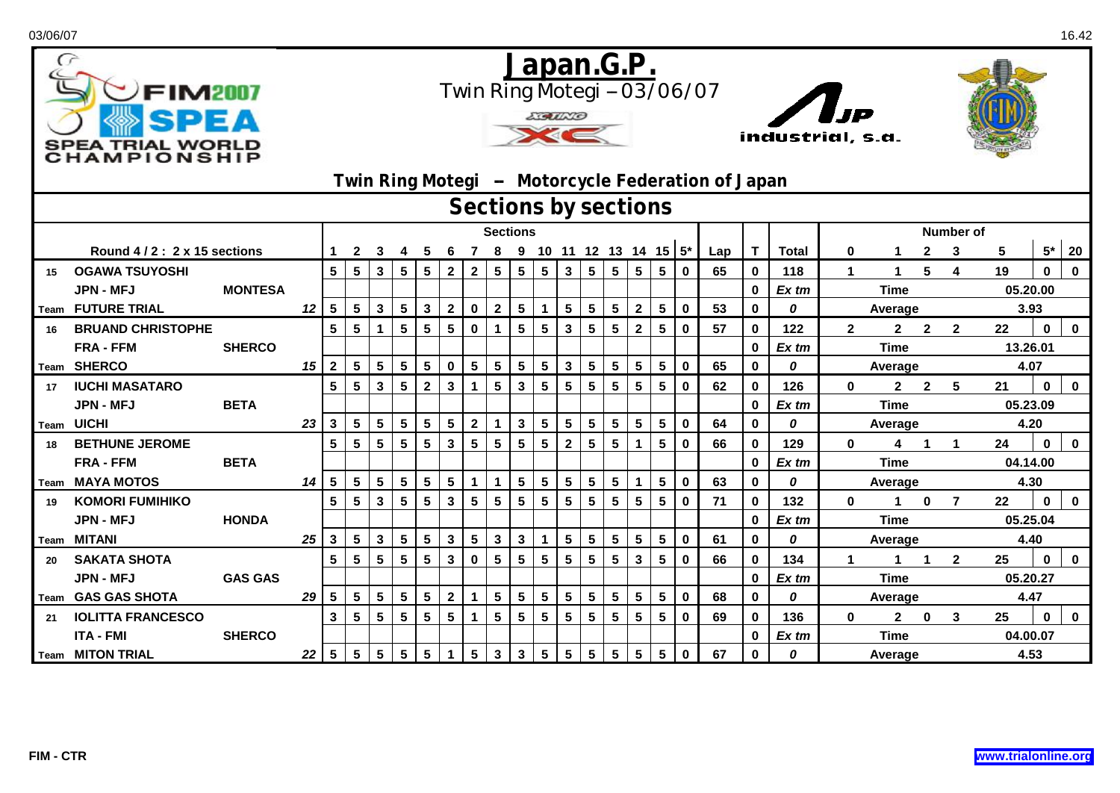| G  | FIM2007<br><b>TRIAL WORL</b><br>HAMPIONSHIP |                            | <u>Japan.G.P.</u><br>Twin Ring Motegi -- 03/06/07<br><b>LIGULLO</b><br>industrial, s.a.<br>Twin Ring Motegi - Motorcycle Federation of Japan<br>Sections by sections |                 |                 |                 |                         |                |                 |                         |                 |                 |                 |                         |                         |                 |                            |                         |                  |     |              |              |              |              |                |                |          |              |             |  |
|----|---------------------------------------------|----------------------------|----------------------------------------------------------------------------------------------------------------------------------------------------------------------|-----------------|-----------------|-----------------|-------------------------|----------------|-----------------|-------------------------|-----------------|-----------------|-----------------|-------------------------|-------------------------|-----------------|----------------------------|-------------------------|------------------|-----|--------------|--------------|--------------|--------------|----------------|----------------|----------|--------------|-------------|--|
|    |                                             |                            |                                                                                                                                                                      |                 |                 |                 |                         |                |                 |                         |                 |                 |                 |                         |                         |                 |                            |                         |                  |     |              |              |              |              |                |                |          |              |             |  |
|    |                                             |                            |                                                                                                                                                                      |                 | <b>Sections</b> |                 |                         |                |                 |                         |                 |                 |                 |                         |                         |                 |                            |                         | <b>Number of</b> |     |              |              |              |              |                |                |          |              |             |  |
|    |                                             | Round 4/2: 2 x 15 sections |                                                                                                                                                                      |                 |                 | 3               | 4                       | 5              | 6               |                         |                 |                 |                 |                         |                         |                 | 7 8 9 10 11 12 13 14 15 5* |                         |                  | Lap | T            | <b>Total</b> | $\mathbf 0$  |              | $\mathbf{2}$   | 3              | 5        |              | $5*$ 20     |  |
| 15 | <b>OGAWA TSUYOSHI</b>                       |                            |                                                                                                                                                                      | 5               | 5               | $\mathbf{3}$    | 5                       | 5              | $\overline{2}$  | $\mathbf{2}$            | 5 <sup>5</sup>  | $5\phantom{.0}$ | $5\phantom{.0}$ | 3 <sup>1</sup>          | $5\phantom{1}$          | 5               | 5                          | $5\phantom{.0}$         | $\mathbf{0}$     | 65  | $\bf{0}$     | 118          | $\mathbf 1$  | $\mathbf 1$  | 5              | 4              | 19       | $\mathbf{0}$ | $\mathbf 0$ |  |
|    | <b>JPN - MFJ</b>                            | <b>MONTESA</b>             |                                                                                                                                                                      |                 |                 |                 |                         |                |                 |                         |                 |                 |                 |                         |                         |                 |                            |                         |                  |     | $\bf{0}$     | $Ex$ tm      |              | <b>Time</b>  | 05.20.00       |                |          |              |             |  |
|    | Team FUTURE TRIAL                           |                            | 12                                                                                                                                                                   | 5               | 5 <sup>5</sup>  | $\mathbf{3}$    | $\overline{\mathbf{5}}$ | 3 <sup>1</sup> | $\mathbf{2}$    | $\mathbf 0$             | $\overline{2}$  | ${\bf 5}$       | $\mathbf 1$     | 5 <sup>1</sup>          | $\sqrt{5}$              | $5\phantom{.0}$ | $\overline{2}$             | ${\bf 5}$               | $\mathbf 0$      | 53  | $\bf{0}$     | 0            |              | Average      |                | 3.93           |          |              |             |  |
|    | <b>BRUAND CHRISTOPHE</b>                    |                            |                                                                                                                                                                      | 5               | 5               | $\mathbf{1}$    | $5\phantom{.0}$         | 5              | $5\phantom{.0}$ | $\mathbf 0$             | 1               | $5\phantom{.0}$ | 5               | $\overline{\mathbf{3}}$ | $5\phantom{1}$          | 5               | $\overline{2}$             | $5\phantom{1}$          | $\mathbf 0$      | 57  | $\bf{0}$     | 122          | $\mathbf{2}$ | $\mathbf{2}$ | $\overline{2}$ | $\mathbf{2}$   | 22       | $\mathbf 0$  | $\mathbf 0$ |  |
|    | <b>FRA - FFM</b>                            | <b>SHERCO</b>              |                                                                                                                                                                      |                 |                 |                 |                         |                |                 |                         |                 |                 |                 |                         |                         |                 |                            |                         |                  |     | $\bf{0}$     | Ex tm        | <b>Time</b>  |              |                |                | 13.26.01 |              |             |  |
|    | Team SHERCO                                 |                            | 15                                                                                                                                                                   | $\overline{2}$  | 5 <sup>1</sup>  | $5\phantom{.0}$ | $5\phantom{.0}$         | 5 <sup>1</sup> | $\mathbf 0$     | $5\phantom{.0}$         | 5 <sup>5</sup>  | $5\phantom{.0}$ | $5\phantom{.0}$ | 3 <sup>1</sup>          | $5\phantom{.0}$         | $5\phantom{.0}$ | 5 <sub>5</sub>             | $\overline{\mathbf{5}}$ | $\mathbf 0$      | 65  | $\bf{0}$     | 0            |              | Average      |                | 4.07           |          |              |             |  |
| 17 | <b>IUCHI MASATARO</b>                       |                            |                                                                                                                                                                      | $5\phantom{a}$  | 5               | $\mathbf{3}$    | 5                       | $\mathbf{2}$   | $\mathbf{3}$    | $\mathbf{1}$            | $5\phantom{1}$  | $\mathbf{3}$    | 5               | 5                       | $5\phantom{1}$          | 5               | 5                          | $5\phantom{1}$          | $\mathbf{0}$     | 62  | $\mathbf 0$  | 126          | 0            | $\mathbf{2}$ | $2^{\circ}$    | 5              | 21       | $\mathbf 0$  | $\mathbf 0$ |  |
|    | JPN - MFJ                                   | <b>BETA</b>                |                                                                                                                                                                      |                 |                 |                 |                         |                |                 |                         |                 |                 |                 |                         |                         |                 |                            |                         |                  |     | $\bf{0}$     | Ex tm        |              | <b>Time</b>  |                |                |          | 05.23.09     |             |  |
|    | <b>Team UICHI</b>                           |                            | 23                                                                                                                                                                   | <b>3</b>        | 5 <sup>5</sup>  | $5\phantom{.0}$ | $5\phantom{.0}$         | 5 <sup>5</sup> | $5\phantom{.0}$ | $\mathbf{2}$            | $\mathbf{1}$    | $\mathbf{3}$    | $5\phantom{.0}$ | 5 <sup>1</sup>          | $5\phantom{a}$          | $5\phantom{.0}$ | 5 <sub>5</sub>             | $5\phantom{.0}$         | $\mathbf 0$      | 64  | $\mathbf 0$  | 0            |              | Average      |                |                | 4.20     |              |             |  |
| 18 | <b>BETHUNE JEROME</b>                       |                            |                                                                                                                                                                      | $5\phantom{a}$  | 5               | $5\phantom{1}$  | $5\phantom{a}$          | 5              | $\mathbf{3}$    | $5\phantom{a}$          | $5\phantom{a}$  | $5\phantom{a}$  | $5\phantom{a}$  | $\overline{\mathbf{2}}$ | $5\phantom{1}$          | $5\phantom{.0}$ | $\mathbf 1$                | $5\phantom{1}$          | $\mathbf{0}$     | 66  | $\mathbf 0$  | 129          | $\bf{0}$     | 4            | $\mathbf{1}$   | $\overline{1}$ | 24       | $\mathbf 0$  | $\mathbf 0$ |  |
|    | <b>FRA - FFM</b>                            | <b>BETA</b>                |                                                                                                                                                                      |                 |                 |                 |                         |                |                 |                         |                 |                 |                 |                         |                         |                 |                            |                         |                  |     | $\mathbf 0$  | Ex tm        |              | <b>Time</b>  |                |                | 04.14.00 |              |             |  |
|    | Team MAYA MOTOS                             |                            | 14                                                                                                                                                                   | $5\phantom{.0}$ | 5 <sup>1</sup>  | $5\phantom{.0}$ | $5\phantom{.0}$         | 5 <sup>5</sup> | $5\phantom{1}$  | $\mathbf{1}$            | $\mathbf 1$     | $5\phantom{1}$  | $5\phantom{.0}$ | 5 <sup>1</sup>          | $5\phantom{1}$          | $5\phantom{.0}$ | $\mathbf{1}$               | $5\phantom{1}$          | $\mathbf 0$      | 63  | $\mathbf 0$  | 0            |              | Average      |                |                | 4.30     |              |             |  |
| 19 | <b>KOMORI FUMIHIKO</b>                      |                            |                                                                                                                                                                      | 5               | 5               | $\mathbf{3}$    | $5\phantom{a}$          | 5              | $\mathbf{3}$    | $5\phantom{1}$          | 5               | $5\phantom{1}$  | $5\phantom{.0}$ | 5                       | $5\phantom{1}$          | 5               | $5\phantom{a}$             | $5\phantom{1}$          | $\mathbf 0$      | 71  | $\mathbf{0}$ | 132          | $\mathbf{0}$ | 1            | $\mathbf 0$    | $\overline{7}$ | 22       | $\mathbf{0}$ | $\mathbf 0$ |  |
|    | <b>JPN - MFJ</b>                            | <b>HONDA</b>               |                                                                                                                                                                      |                 |                 |                 |                         |                |                 |                         |                 |                 |                 |                         |                         |                 |                            |                         |                  |     | $\bf{0}$     | Ex tm        |              | <b>Time</b>  |                |                | 05.25.04 |              |             |  |
|    | <b>Team MITANI</b>                          |                            | 25                                                                                                                                                                   | 3               | 5               | $\mathbf{3}$    | 5                       | 5              | $\mathbf{3}$    | $\sqrt{5}$              | 3 <sup>1</sup>  | $\mathbf{3}$    | $\mathbf{1}$    | 5                       | $5\phantom{.0}$         | $5\phantom{a}$  | 5                          | $5\phantom{1}$          | $\mathbf 0$      | 61  | $\bf{0}$     | 0            | Average      |              |                |                | 4.40     |              |             |  |
| 20 | <b>SAKATA SHOTA</b>                         |                            |                                                                                                                                                                      | $5\phantom{a}$  | 5               | $5\phantom{.0}$ | $5\phantom{.0}$         | 5              | $\mathbf{3}$    | $\mathbf 0$             | $5\phantom{.0}$ | $5\phantom{.0}$ | $5\phantom{.0}$ | 5                       | $5\phantom{a}$          | $5\phantom{.0}$ | $\mathbf{3}$               | $\overline{\mathbf{5}}$ | $\mathbf 0$      | 66  | $\mathbf 0$  | 134          |              | 1            | $\mathbf 1$    | $\overline{2}$ | 25       | $\bf{0}$     | $\mathbf 0$ |  |
|    | JPN - MFJ                                   | <b>GAS GAS</b>             |                                                                                                                                                                      |                 |                 |                 |                         |                |                 |                         |                 |                 |                 |                         |                         |                 |                            |                         |                  |     | $\bf{0}$     | $Ex$ tm      |              | <b>Time</b>  |                |                | 05.20.27 |              |             |  |
|    | Team GAS GAS SHOTA                          |                            | 29                                                                                                                                                                   | $\sqrt{5}$      | $5\overline{)}$ | $5\phantom{.0}$ | $5\phantom{.0}$         | 5              | $\mathbf{2}$    | $\mathbf 1$             | 5 <sub>5</sub>  | $5\phantom{.0}$ | $5\phantom{.0}$ | 5 <sup>5</sup>          | $\overline{\mathbf{5}}$ | $5\phantom{a}$  | 5 <sup>5</sup>             | $\sqrt{5}$              | $\mathbf 0$      | 68  | $\mathbf 0$  | 0            |              | Average      |                |                | 4.47     |              |             |  |
| 21 | <b>IOLITTA FRANCESCO</b>                    |                            |                                                                                                                                                                      | $\mathbf{3}$    | 5               | $5\phantom{.0}$ | $5\phantom{.0}$         | 5              | $5\phantom{1}$  | $\mathbf{1}$            | 5               | $5\phantom{a}$  | $5\phantom{.0}$ | 5                       | $5\phantom{.0}$         | 5               | 5                          | $5\phantom{.0}$         | $\mathbf 0$      | 69  | $\mathbf 0$  | 136          | $\mathbf{0}$ | $\mathbf{2}$ | $\mathbf 0$    | 3              | 25       | $\mathbf{0}$ | $\mathbf 0$ |  |
|    | <b>ITA - FMI</b>                            | <b>SHERCO</b>              |                                                                                                                                                                      |                 |                 |                 |                         |                |                 |                         |                 |                 |                 |                         |                         |                 |                            |                         |                  |     | $\bf{0}$     | Ex tm        |              | <b>Time</b>  |                |                | 04.00.07 |              |             |  |
|    | <b>Team MITON TRIAL</b>                     |                            | 22                                                                                                                                                                   | 5               | 5 <sup>5</sup>  | $5\phantom{.0}$ | $5\phantom{.0}$         | 5              | $\mathbf{1}$    | $\overline{\mathbf{5}}$ | $\mathbf{3}$    | $\mathbf{3}$    | $5\phantom{.0}$ | 5 <sup>5</sup>          | $\sqrt{5}$              | $5\phantom{.0}$ | 5                          | $\sqrt{5}$              | $\mathbf 0$      | 67  | $\bf{0}$     | 0            |              | Average      |                |                | 4.53     |              |             |  |